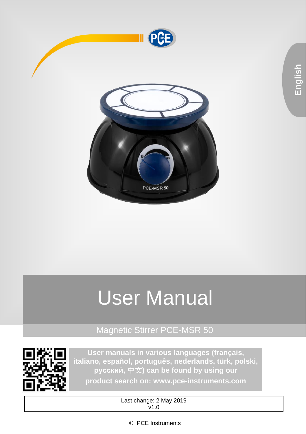

# User Manual

## Magnetic Stirrer PCE-MSR 50



**User manuals in various languages (français, italiano, español, português, nederlands, türk, polski, русский,** 中文**) can be found by using our**

**product search on: www.pce-instruments.com**

Last change: 2 May 2019  $\sqrt{1.0}$ 

© PCE Instruments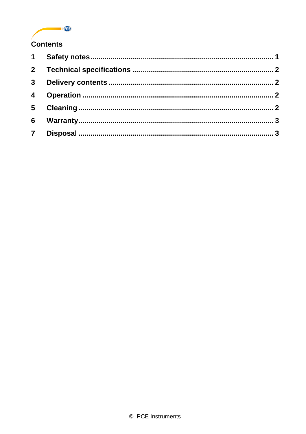

### $\blacktriangleleft$  $\overline{2}$  $\overline{\mathbf{3}}$  $\blacktriangle$ 5 6  $\overline{7}$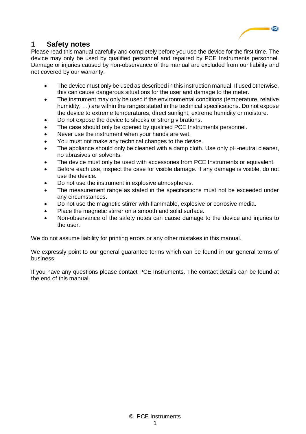### <span id="page-2-0"></span>**1 Safety notes**

Please read this manual carefully and completely before you use the device for the first time. The device may only be used by qualified personnel and repaired by PCE Instruments personnel. Damage or injuries caused by non-observance of the manual are excluded from our liability and not covered by our warranty.

• The device must only be used as described in this instruction manual. If used otherwise, this can cause dangerous situations for the user and damage to the meter.

**PCE** 

- The instrument may only be used if the environmental conditions (temperature, relative humidity, …) are within the ranges stated in the technical specifications. Do not expose the device to extreme temperatures, direct sunlight, extreme humidity or moisture.
- Do not expose the device to shocks or strong vibrations.
- The case should only be opened by qualified PCE Instruments personnel.
- Never use the instrument when your hands are wet.
- You must not make any technical changes to the device.
- The appliance should only be cleaned with a damp cloth. Use only pH-neutral cleaner, no abrasives or solvents.
- The device must only be used with accessories from PCE Instruments or equivalent.
- Before each use, inspect the case for visible damage. If any damage is visible, do not use the device.
- Do not use the instrument in explosive atmospheres.
- The measurement range as stated in the specifications must not be exceeded under any circumstances.
- Do not use the magnetic stirrer with flammable, explosive or corrosive media.
- Place the magnetic stirrer on a smooth and solid surface.
- Non-observance of the safety notes can cause damage to the device and injuries to the user.

We do not assume liability for printing errors or any other mistakes in this manual.

We expressly point to our general guarantee terms which can be found in our general terms of business.

If you have any questions please contact PCE Instruments. The contact details can be found at the end of this manual.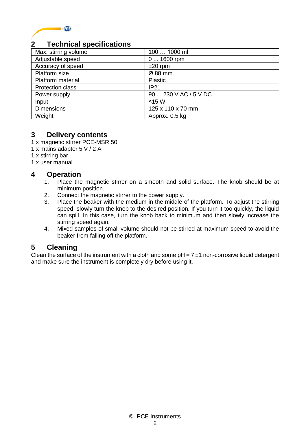

### <span id="page-3-0"></span>**2 Technical specifications**

| Max. stirring volume    | 100  1000 ml          |
|-------------------------|-----------------------|
| Adjustable speed        | $01600$ rpm           |
| Accuracy of speed       | $±20$ rpm             |
| Platform size           | Ø 88 mm               |
| Platform material       | Plastic               |
| <b>Protection class</b> | <b>IP21</b>           |
| Power supply            | 90  230 V AC / 5 V DC |
| Input                   | ≤15 W                 |
| <b>Dimensions</b>       | 125 x 110 x 70 mm     |
| Weight                  | Approx. 0.5 kg        |

### <span id="page-3-1"></span>**3 Delivery contents**

- 1 x magnetic stirrer PCE-MSR 50
- 1 x mains adaptor 5 V / 2 A
- 1 x stirring bar
- 1 x user manual

# <span id="page-3-2"></span>**4 Operation**

- Place the magnetic stirrer on a smooth and solid surface. The knob should be at minimum position.
- 2. Connect the magnetic stirrer to the power supply.<br>3. Place the beaker with the medium in the middle
- Place the beaker with the medium in the middle of the platform. To adjust the stirring speed, slowly turn the knob to the desired position. If you turn it too quickly, the liquid can spill. In this case, turn the knob back to minimum and then slowly increase the stirring speed again.
- 4. Mixed samples of small volume should not be stirred at maximum speed to avoid the beaker from falling off the platform.

### <span id="page-3-3"></span>**5 Cleaning**

Clean the surface of the instrument with a cloth and some  $pH = 7 \pm 1$  non-corrosive liquid detergent and make sure the instrument is completely dry before using it.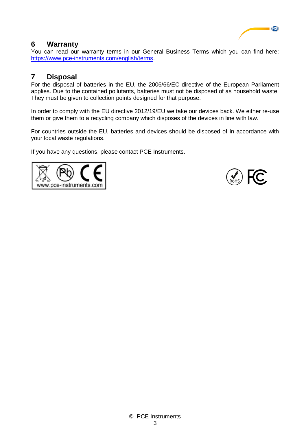

### <span id="page-4-0"></span>**6 Warranty**

You can read our warranty terms in our General Business Terms which you can find here: [https://www.pce-instruments.com/english/terms.](https://www.pce-instruments.com/english/terms)

### <span id="page-4-1"></span>**7 Disposal**

For the disposal of batteries in the EU, the 2006/66/EC directive of the European Parliament applies. Due to the contained pollutants, batteries must not be disposed of as household waste. They must be given to collection points designed for that purpose.

In order to comply with the EU directive 2012/19/EU we take our devices back. We either re-use them or give them to a recycling company which disposes of the devices in line with law.

For countries outside the EU, batteries and devices should be disposed of in accordance with your local waste regulations.

If you have any questions, please contact PCE Instruments.